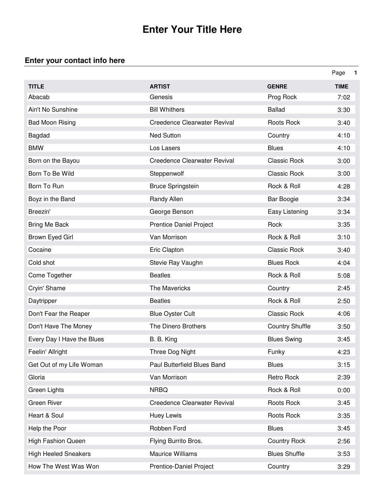## **Enter Your Title Here**

## **Enter your contact info here**

|                             |                                     |                        | Page        | $\mathbf 1$ |
|-----------------------------|-------------------------------------|------------------------|-------------|-------------|
| <b>TITLE</b>                | <b>ARTIST</b>                       | <b>GENRE</b>           | <b>TIME</b> |             |
| Abacab                      | Genesis                             | Prog Rock              | 7:02        |             |
| Ain't No Sunshine           | <b>Bill Whithers</b>                | <b>Ballad</b>          | 3:30        |             |
| <b>Bad Moon Rising</b>      | <b>Creedence Clearwater Revival</b> | Roots Rock             | 3:40        |             |
| <b>Bagdad</b>               | <b>Ned Sutton</b>                   | Country                | 4:10        |             |
| <b>BMW</b>                  | Los Lasers                          | <b>Blues</b>           | 4:10        |             |
| Born on the Bayou           | <b>Creedence Clearwater Revival</b> | <b>Classic Rock</b>    | 3:00        |             |
| Born To Be Wild             | Steppenwolf                         | <b>Classic Rock</b>    | 3:00        |             |
| Born To Run                 | <b>Bruce Springstein</b>            | Rock & Roll            | 4:28        |             |
| Boyz in the Band            | Randy Allen                         | Bar Boogie             | 3:34        |             |
| Breezin'                    | George Benson                       | Easy Listening         | 3:34        |             |
| <b>Bring Me Back</b>        | <b>Prentice Daniel Project</b>      | Rock                   | 3:35        |             |
| Brown Eyed Girl             | Van Morrison                        | Rock & Roll            | 3:10        |             |
| Cocaine                     | Eric Clapton                        | <b>Classic Rock</b>    | 3:40        |             |
| Cold shot                   | Stevie Ray Vaughn                   | <b>Blues Rock</b>      | 4:04        |             |
| Come Together               | <b>Beatles</b>                      | Rock & Roll            | 5:08        |             |
| Cryin' Shame                | The Mavericks                       | Country                | 2:45        |             |
| Daytripper                  | <b>Beatles</b>                      | Rock & Roll            | 2:50        |             |
| Don't Fear the Reaper       | <b>Blue Oyster Cult</b>             | <b>Classic Rock</b>    | 4:06        |             |
| Don't Have The Money        | The Dinero Brothers                 | <b>Country Shuffle</b> | 3:50        |             |
| Every Day I Have the Blues  | B. B. King                          | <b>Blues Swing</b>     | 3:45        |             |
| Feelin' Allright            | Three Dog Night                     | Funky                  | 4:23        |             |
| Get Out of my Life Woman    | Paul Butterfield Blues Band         | <b>Blues</b>           | 3:15        |             |
| Gloria                      | Van Morrison                        | Retro Rock             | 2:39        |             |
| Green Lights                | <b>NRBQ</b>                         | Rock & Roll            | 0:00        |             |
| Green River                 | <b>Creedence Clearwater Revival</b> | Roots Rock             | 3:45        |             |
| Heart & Soul                | Huey Lewis                          | Roots Rock             | 3:35        |             |
| Help the Poor               | Robben Ford                         | <b>Blues</b>           | 3:45        |             |
| <b>High Fashion Queen</b>   | Flying Burrito Bros.                | <b>Country Rock</b>    | 2:56        |             |
| <b>High Heeled Sneakers</b> | Maurice Williams                    | <b>Blues Shuffle</b>   | 3:53        |             |
| How The West Was Won        | Prentice-Daniel Project             | Country                | 3:29        |             |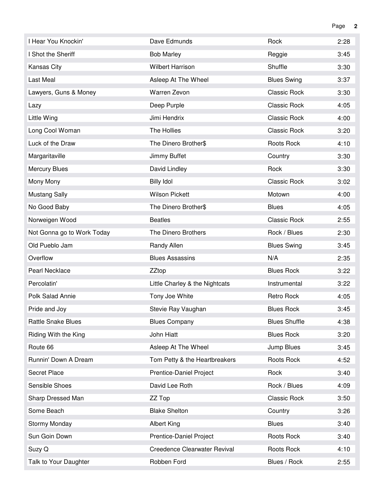| I Hear You Knockin'        | Dave Edmunds                   | Rock                 | 2:28 |
|----------------------------|--------------------------------|----------------------|------|
| I Shot the Sheriff         | <b>Bob Marley</b>              | Reggie               | 3:45 |
| Kansas City                | <b>Wilbert Harrison</b>        | Shuffle              | 3:30 |
| Last Meal                  | Asleep At The Wheel            | <b>Blues Swing</b>   | 3:37 |
| Lawyers, Guns & Money      | Warren Zevon                   | <b>Classic Rock</b>  | 3:30 |
| Lazy                       | Deep Purple                    | Classic Rock         | 4:05 |
| Little Wing                | Jimi Hendrix                   | <b>Classic Rock</b>  | 4:00 |
| Long Cool Woman            | The Hollies                    | <b>Classic Rock</b>  | 3:20 |
| Luck of the Draw           | The Dinero Brother\$           | Roots Rock           | 4:10 |
| Margaritaville             | Jimmy Buffet                   | Country              | 3:30 |
| <b>Mercury Blues</b>       | David Lindley                  | Rock                 | 3:30 |
| Mony Mony                  | <b>Billy Idol</b>              | <b>Classic Rock</b>  | 3:02 |
| <b>Mustang Sally</b>       | <b>Wilson Pickett</b>          | Motown               | 4:00 |
| No Good Baby               | The Dinero Brother\$           | <b>Blues</b>         | 4:05 |
| Norweigen Wood             | <b>Beatles</b>                 | Classic Rock         | 2:55 |
| Not Gonna go to Work Today | The Dinero Brothers            | Rock / Blues         | 2:30 |
| Old Pueblo Jam             | Randy Allen                    | <b>Blues Swing</b>   | 3:45 |
| Overflow                   | <b>Blues Assassins</b>         | N/A                  | 2:35 |
| Pearl Necklace             | ZZtop                          | <b>Blues Rock</b>    | 3:22 |
| Percolatin'                | Little Charley & the Nightcats | Instrumental         | 3:22 |
| Polk Salad Annie           | Tony Joe White                 | Retro Rock           | 4:05 |
| Pride and Joy              | Stevie Ray Vaughan             | <b>Blues Rock</b>    | 3:45 |
| <b>Rattle Snake Blues</b>  | <b>Blues Company</b>           | <b>Blues Shuffle</b> | 4:38 |
| Riding With the King       | John Hiatt                     | <b>Blues Rock</b>    | 3:20 |
| Route 66                   | Asleep At The Wheel            | Jump Blues           | 3:45 |
| Runnin' Down A Dream       | Tom Petty & the Heartbreakers  | Roots Rock           | 4:52 |
| Secret Place               | Prentice-Daniel Project        | Rock                 | 3:40 |
| Sensible Shoes             | David Lee Roth                 | Rock / Blues         | 4:09 |
| Sharp Dressed Man          | ZZ Top                         | <b>Classic Rock</b>  | 3:50 |
| Some Beach                 | <b>Blake Shelton</b>           | Country              | 3:26 |
| Stormy Monday              | <b>Albert King</b>             | <b>Blues</b>         | 3:40 |
| Sun Goin Down              | Prentice-Daniel Project        | Roots Rock           | 3:40 |
| Suzy Q                     | Creedence Clearwater Revival   | Roots Rock           | 4:10 |
| Talk to Your Daughter      | Robben Ford                    | Blues / Rock         | 2:55 |